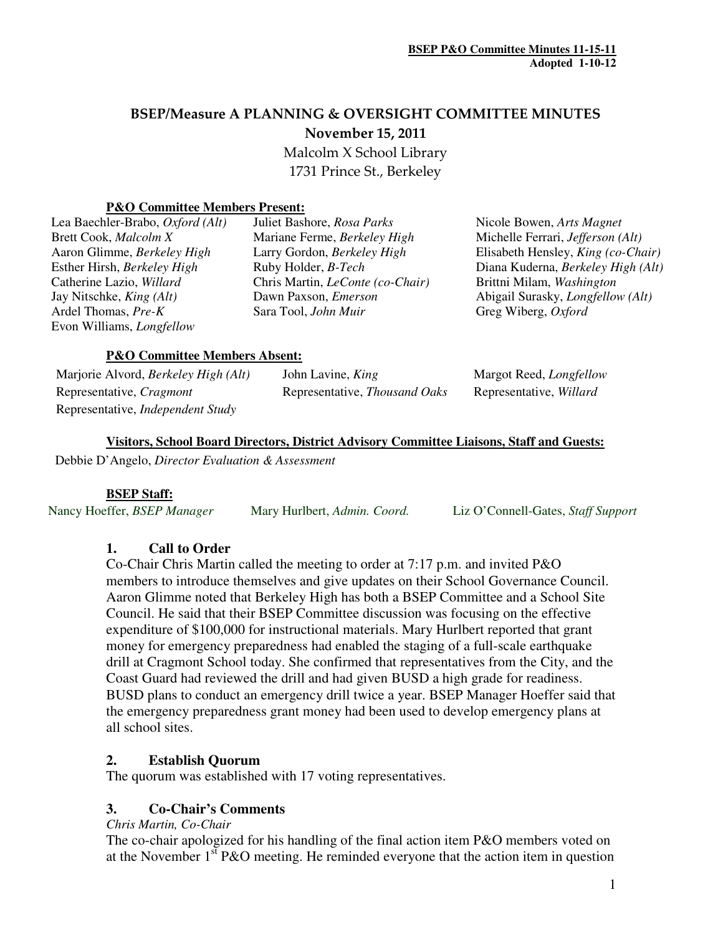# BSEP/Measure A PLANNING & OVERSIGHT COMMITTEE MINUTES November 15, 2011

 Malcolm X School Library 1731 Prince St., Berkeley

#### **P&O Committee Members Present:**

| Lea Baechler-Brabo, <i>Oxford</i> (Alt)  |
|------------------------------------------|
| Brett Cook, Malcolm X                    |
| Aaron Glimme, Berkeley High              |
| Esther Hirsh, Berkeley High              |
| Catherine Lazio, Willard                 |
| Jay Nitschke, <i>King</i> ( <i>Alt</i> ) |
| Ardel Thomas, Pre-K                      |
| Evon Williams, <i>Longfellow</i>         |

Lea Baechler-Brabo, *Oxford (Alt)* Juliet Bashore, *Rosa Parks* Nicole Bowen, *Arts Magnet* **Mariane Ferme,** *Berkeley High* Michelle Ferrari, *Jefferson (Alt)* Catherine Lazio, *Willard* Chris Martin, *LeConte (co-Chair)* Brittni Milam, *Washington* Sara Tool, *John Muir* **Greg Wiberg**, *Oxford* **Greg Wi** 

Aaron Glimme, *Berkeley High* Larry Gordon, *Berkeley High* Elisabeth Hensley, *King (co-Chair)* Esther Hirsh, *Berkeley High* Ruby Holder, *B-Tech* Diana Kuderna, *Berkeley High (Alt)* Dawn Paxson, *Emerson* Abigail Surasky, *Longfellow (Alt)* 

#### **P&O Committee Members Absent:**

| Marjorie Alvord, <i>Berkeley High</i> ( <i>Alt</i> ) | John Lavine, King                    | Margot Reed, <i>Longfellow</i> |
|------------------------------------------------------|--------------------------------------|--------------------------------|
| Representative, Cragmont                             | Representative, <i>Thousand Oaks</i> | Representative, <i>Willard</i> |
| Representative, <i>Independent Study</i>             |                                      |                                |

#### **Visitors, School Board Directors, District Advisory Committee Liaisons, Staff and Guests:**

Debbie D'Angelo, *Director Evaluation & Assessment*

#### **BSEP Staff:**

Nancy Hoeffer, *BSEP Manager* Mary Hurlbert, *Admin. Coord.* Liz O'Connell-Gates, *Staff Support* 

## **1. Call to Order**

Co-Chair Chris Martin called the meeting to order at 7:17 p.m. and invited P&O members to introduce themselves and give updates on their School Governance Council. Aaron Glimme noted that Berkeley High has both a BSEP Committee and a School Site Council. He said that their BSEP Committee discussion was focusing on the effective expenditure of \$100,000 for instructional materials. Mary Hurlbert reported that grant money for emergency preparedness had enabled the staging of a full-scale earthquake drill at Cragmont School today. She confirmed that representatives from the City, and the Coast Guard had reviewed the drill and had given BUSD a high grade for readiness. BUSD plans to conduct an emergency drill twice a year. BSEP Manager Hoeffer said that the emergency preparedness grant money had been used to develop emergency plans at all school sites.

## **2. Establish Quorum**

The quorum was established with 17 voting representatives.

## **3. Co-Chair's Comments**

*Chris Martin, Co-Chair*

The co-chair apologized for his handling of the final action item P&O members voted on at the November  $1<sup>st</sup> P&O$  meeting. He reminded everyone that the action item in question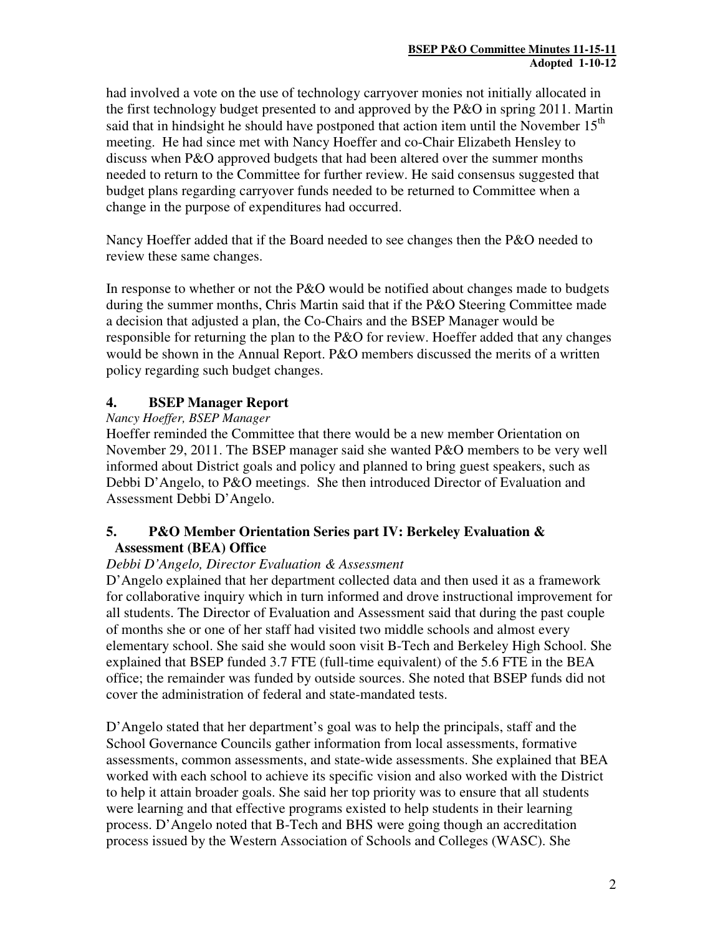had involved a vote on the use of technology carryover monies not initially allocated in the first technology budget presented to and approved by the P&O in spring 2011. Martin said that in hindsight he should have postponed that action item until the November  $15<sup>th</sup>$ meeting. He had since met with Nancy Hoeffer and co-Chair Elizabeth Hensley to discuss when P&O approved budgets that had been altered over the summer months needed to return to the Committee for further review. He said consensus suggested that budget plans regarding carryover funds needed to be returned to Committee when a change in the purpose of expenditures had occurred.

Nancy Hoeffer added that if the Board needed to see changes then the P&O needed to review these same changes.

In response to whether or not the P&O would be notified about changes made to budgets during the summer months, Chris Martin said that if the P&O Steering Committee made a decision that adjusted a plan, the Co-Chairs and the BSEP Manager would be responsible for returning the plan to the P&O for review. Hoeffer added that any changes would be shown in the Annual Report. P&O members discussed the merits of a written policy regarding such budget changes.

# **4. BSEP Manager Report**

#### *Nancy Hoeffer, BSEP Manager*

Hoeffer reminded the Committee that there would be a new member Orientation on November 29, 2011. The BSEP manager said she wanted P&O members to be very well informed about District goals and policy and planned to bring guest speakers, such as Debbi D'Angelo, to P&O meetings. She then introduced Director of Evaluation and Assessment Debbi D'Angelo.

## **5. P&O Member Orientation Series part IV: Berkeley Evaluation & Assessment (BEA) Office**

## *Debbi D'Angelo, Director Evaluation & Assessment*

D'Angelo explained that her department collected data and then used it as a framework for collaborative inquiry which in turn informed and drove instructional improvement for all students. The Director of Evaluation and Assessment said that during the past couple of months she or one of her staff had visited two middle schools and almost every elementary school. She said she would soon visit B-Tech and Berkeley High School. She explained that BSEP funded 3.7 FTE (full-time equivalent) of the 5.6 FTE in the BEA office; the remainder was funded by outside sources. She noted that BSEP funds did not cover the administration of federal and state-mandated tests.

D'Angelo stated that her department's goal was to help the principals, staff and the School Governance Councils gather information from local assessments, formative assessments, common assessments, and state-wide assessments. She explained that BEA worked with each school to achieve its specific vision and also worked with the District to help it attain broader goals. She said her top priority was to ensure that all students were learning and that effective programs existed to help students in their learning process. D'Angelo noted that B-Tech and BHS were going though an accreditation process issued by the Western Association of Schools and Colleges (WASC). She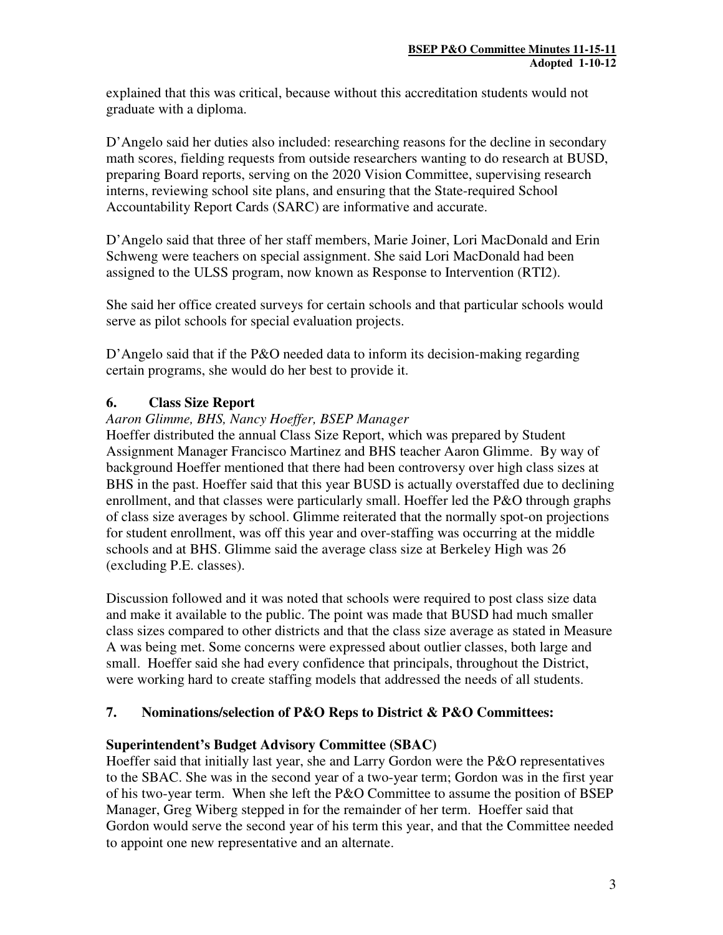explained that this was critical, because without this accreditation students would not graduate with a diploma.

D'Angelo said her duties also included: researching reasons for the decline in secondary math scores, fielding requests from outside researchers wanting to do research at BUSD, preparing Board reports, serving on the 2020 Vision Committee, supervising research interns, reviewing school site plans, and ensuring that the State-required School Accountability Report Cards (SARC) are informative and accurate.

D'Angelo said that three of her staff members, Marie Joiner, Lori MacDonald and Erin Schweng were teachers on special assignment. She said Lori MacDonald had been assigned to the ULSS program, now known as Response to Intervention (RTI2).

She said her office created surveys for certain schools and that particular schools would serve as pilot schools for special evaluation projects.

D'Angelo said that if the P&O needed data to inform its decision-making regarding certain programs, she would do her best to provide it.

# **6. Class Size Report**

## *Aaron Glimme, BHS, Nancy Hoeffer, BSEP Manager*

Hoeffer distributed the annual Class Size Report, which was prepared by Student Assignment Manager Francisco Martinez and BHS teacher Aaron Glimme. By way of background Hoeffer mentioned that there had been controversy over high class sizes at BHS in the past. Hoeffer said that this year BUSD is actually overstaffed due to declining enrollment, and that classes were particularly small. Hoeffer led the P&O through graphs of class size averages by school. Glimme reiterated that the normally spot-on projections for student enrollment, was off this year and over-staffing was occurring at the middle schools and at BHS. Glimme said the average class size at Berkeley High was 26 (excluding P.E. classes).

Discussion followed and it was noted that schools were required to post class size data and make it available to the public. The point was made that BUSD had much smaller class sizes compared to other districts and that the class size average as stated in Measure A was being met. Some concerns were expressed about outlier classes, both large and small. Hoeffer said she had every confidence that principals, throughout the District, were working hard to create staffing models that addressed the needs of all students.

# **7. Nominations/selection of P&O Reps to District & P&O Committees:**

# **Superintendent's Budget Advisory Committee (SBAC)**

Hoeffer said that initially last year, she and Larry Gordon were the P&O representatives to the SBAC. She was in the second year of a two-year term; Gordon was in the first year of his two-year term. When she left the P&O Committee to assume the position of BSEP Manager, Greg Wiberg stepped in for the remainder of her term. Hoeffer said that Gordon would serve the second year of his term this year, and that the Committee needed to appoint one new representative and an alternate.